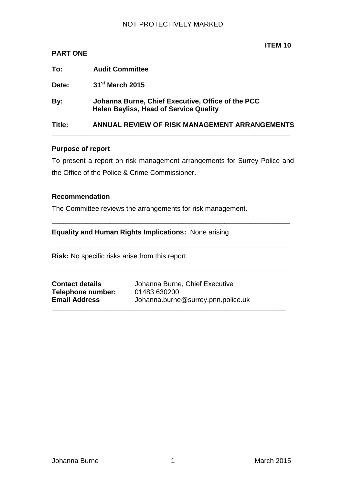|  | ITEM 10 | Ŋ |
|--|---------|---|
|  |         |   |

| Title:          | ANNUAL REVIEW OF RISK MANAGEMENT ARRANGEMENTS                                                      |
|-----------------|----------------------------------------------------------------------------------------------------|
| By:             | Johanna Burne, Chief Executive, Office of the PCC<br><b>Helen Bayliss, Head of Service Quality</b> |
| Date:           | 31 <sup>st</sup> March 2015                                                                        |
| To:             | <b>Audit Committee</b>                                                                             |
| <b>PART ONE</b> |                                                                                                    |

#### **Purpose of report**

To present a report on risk management arrangements for Surrey Police and the Office of the Police & Crime Commissioner.

**\_\_\_\_\_\_\_\_\_\_\_\_\_\_\_\_\_\_\_\_\_\_\_\_\_\_\_\_\_\_\_\_\_\_\_\_\_\_\_\_\_\_\_\_\_\_\_\_\_\_\_\_\_\_\_\_\_\_\_\_\_\_**

**\_\_\_\_\_\_\_\_\_\_\_\_\_\_\_\_\_\_\_\_\_\_\_\_\_\_\_\_\_\_\_\_\_\_\_\_\_\_\_\_\_\_\_\_\_\_\_\_\_\_\_\_\_\_\_\_\_\_\_\_\_\_**

**\_\_\_\_\_\_\_\_\_\_\_\_\_\_\_\_\_\_\_\_\_\_\_\_\_\_\_\_\_\_\_\_\_\_\_\_\_\_\_\_\_\_\_\_\_\_\_\_\_\_\_\_\_\_\_\_\_\_\_\_\_\_**

**\_\_\_\_\_\_\_\_\_\_\_\_\_\_\_\_\_\_\_\_\_\_\_\_\_\_\_\_\_\_\_\_\_\_\_\_\_\_\_\_\_\_\_\_\_\_\_\_\_\_\_\_\_\_\_\_\_\_\_\_\_**

#### **Recommendation**

The Committee reviews the arrangements for risk management.

# **Equality and Human Rights Implications:** None arising

**Risk:** No specific risks arise from this report.

**Telephone number:** 01483 630200

**Contact details** Johanna Burne, Chief Executive **Email Address** Johanna.burne@surrey.pnn.police.uk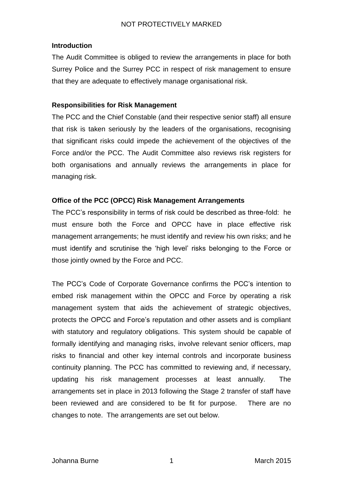### **Introduction**

The Audit Committee is obliged to review the arrangements in place for both Surrey Police and the Surrey PCC in respect of risk management to ensure that they are adequate to effectively manage organisational risk.

### **Responsibilities for Risk Management**

The PCC and the Chief Constable (and their respective senior staff) all ensure that risk is taken seriously by the leaders of the organisations, recognising that significant risks could impede the achievement of the objectives of the Force and/or the PCC. The Audit Committee also reviews risk registers for both organisations and annually reviews the arrangements in place for managing risk.

### **Office of the PCC (OPCC) Risk Management Arrangements**

The PCC's responsibility in terms of risk could be described as three-fold: he must ensure both the Force and OPCC have in place effective risk management arrangements; he must identify and review his own risks; and he must identify and scrutinise the 'high level' risks belonging to the Force or those jointly owned by the Force and PCC.

The PCC's Code of Corporate Governance confirms the PCC's intention to embed risk management within the OPCC and Force by operating a risk management system that aids the achievement of strategic objectives, protects the OPCC and Force's reputation and other assets and is compliant with statutory and regulatory obligations. This system should be capable of formally identifying and managing risks, involve relevant senior officers, map risks to financial and other key internal controls and incorporate business continuity planning. The PCC has committed to reviewing and, if necessary, updating his risk management processes at least annually. The arrangements set in place in 2013 following the Stage 2 transfer of staff have been reviewed and are considered to be fit for purpose. There are no changes to note. The arrangements are set out below.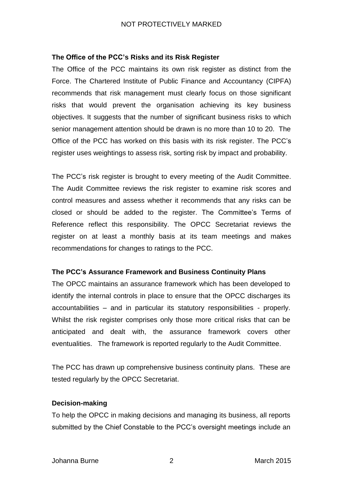### **The Office of the PCC's Risks and its Risk Register**

The Office of the PCC maintains its own risk register as distinct from the Force. The Chartered Institute of Public Finance and Accountancy (CIPFA) recommends that risk management must clearly focus on those significant risks that would prevent the organisation achieving its key business objectives. It suggests that the number of significant business risks to which senior management attention should be drawn is no more than 10 to 20. The Office of the PCC has worked on this basis with its risk register. The PCC's register uses weightings to assess risk, sorting risk by impact and probability.

The PCC's risk register is brought to every meeting of the Audit Committee. The Audit Committee reviews the risk register to examine risk scores and control measures and assess whether it recommends that any risks can be closed or should be added to the register. The Committee's Terms of Reference reflect this responsibility. The OPCC Secretariat reviews the register on at least a monthly basis at its team meetings and makes recommendations for changes to ratings to the PCC.

#### **The PCC's Assurance Framework and Business Continuity Plans**

The OPCC maintains an assurance framework which has been developed to identify the internal controls in place to ensure that the OPCC discharges its accountabilities – and in particular its statutory responsibilities - properly. Whilst the risk register comprises only those more critical risks that can be anticipated and dealt with, the assurance framework covers other eventualities. The framework is reported regularly to the Audit Committee.

The PCC has drawn up comprehensive business continuity plans. These are tested regularly by the OPCC Secretariat.

#### **Decision-making**

To help the OPCC in making decisions and managing its business, all reports submitted by the Chief Constable to the PCC's oversight meetings include an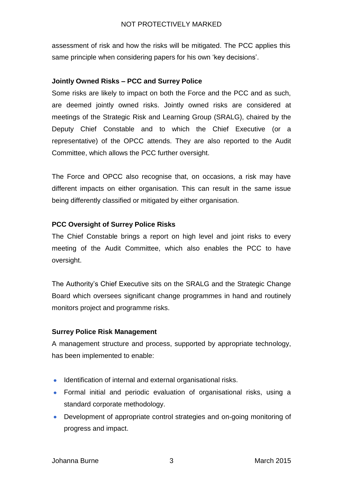assessment of risk and how the risks will be mitigated. The PCC applies this same principle when considering papers for his own 'key decisions'.

### **Jointly Owned Risks – PCC and Surrey Police**

Some risks are likely to impact on both the Force and the PCC and as such, are deemed jointly owned risks. Jointly owned risks are considered at meetings of the Strategic Risk and Learning Group (SRALG), chaired by the Deputy Chief Constable and to which the Chief Executive (or a representative) of the OPCC attends. They are also reported to the Audit Committee, which allows the PCC further oversight.

The Force and OPCC also recognise that, on occasions, a risk may have different impacts on either organisation. This can result in the same issue being differently classified or mitigated by either organisation.

### **PCC Oversight of Surrey Police Risks**

The Chief Constable brings a report on high level and joint risks to every meeting of the Audit Committee, which also enables the PCC to have oversight.

The Authority's Chief Executive sits on the SRALG and the Strategic Change Board which oversees significant change programmes in hand and routinely monitors project and programme risks.

### **Surrey Police Risk Management**

A management structure and process, supported by appropriate technology, has been implemented to enable:

- Identification of internal and external organisational risks.
- Formal initial and periodic evaluation of organisational risks, using a  $\bullet$ standard corporate methodology.
- Development of appropriate control strategies and on-going monitoring of  $\bullet$ progress and impact.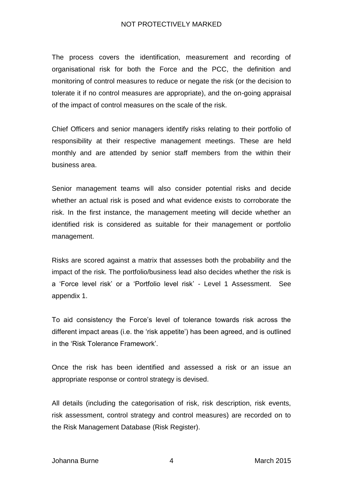The process covers the identification, measurement and recording of organisational risk for both the Force and the PCC, the definition and monitoring of control measures to reduce or negate the risk (or the decision to tolerate it if no control measures are appropriate), and the on-going appraisal of the impact of control measures on the scale of the risk.

Chief Officers and senior managers identify risks relating to their portfolio of responsibility at their respective management meetings. These are held monthly and are attended by senior staff members from the within their business area.

Senior management teams will also consider potential risks and decide whether an actual risk is posed and what evidence exists to corroborate the risk. In the first instance, the management meeting will decide whether an identified risk is considered as suitable for their management or portfolio management.

Risks are scored against a matrix that assesses both the probability and the impact of the risk. The portfolio/business lead also decides whether the risk is a 'Force level risk' or a 'Portfolio level risk' - Level 1 Assessment. See appendix 1.

To aid consistency the Force's level of tolerance towards risk across the different impact areas (i.e. the 'risk appetite') has been agreed, and is outlined in the 'Risk Tolerance Framework'.

Once the risk has been identified and assessed a risk or an issue an appropriate response or control strategy is devised.

All details (including the categorisation of risk, risk description, risk events, risk assessment, control strategy and control measures) are recorded on to the Risk Management Database (Risk Register).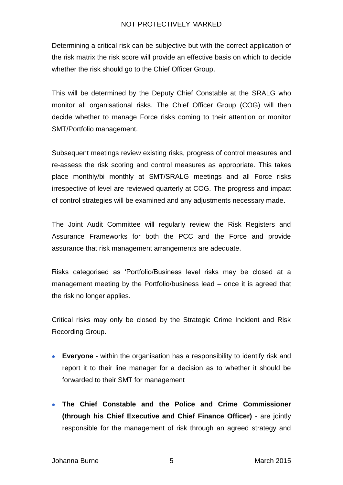Determining a critical risk can be subjective but with the correct application of the risk matrix the risk score will provide an effective basis on which to decide whether the risk should go to the Chief Officer Group.

This will be determined by the Deputy Chief Constable at the SRALG who monitor all organisational risks. The Chief Officer Group (COG) will then decide whether to manage Force risks coming to their attention or monitor SMT/Portfolio management.

Subsequent meetings review existing risks, progress of control measures and re-assess the risk scoring and control measures as appropriate. This takes place monthly/bi monthly at SMT/SRALG meetings and all Force risks irrespective of level are reviewed quarterly at COG. The progress and impact of control strategies will be examined and any adjustments necessary made.

The Joint Audit Committee will regularly review the Risk Registers and Assurance Frameworks for both the PCC and the Force and provide assurance that risk management arrangements are adequate.

Risks categorised as 'Portfolio/Business level risks may be closed at a management meeting by the Portfolio/business lead – once it is agreed that the risk no longer applies.

Critical risks may only be closed by the Strategic Crime Incident and Risk Recording Group.

- **Everyone** within the organisation has a responsibility to identify risk and report it to their line manager for a decision as to whether it should be forwarded to their SMT for management
- **The Chief Constable and the Police and Crime Commissioner (through his Chief Executive and Chief Finance Officer)** - are jointly responsible for the management of risk through an agreed strategy and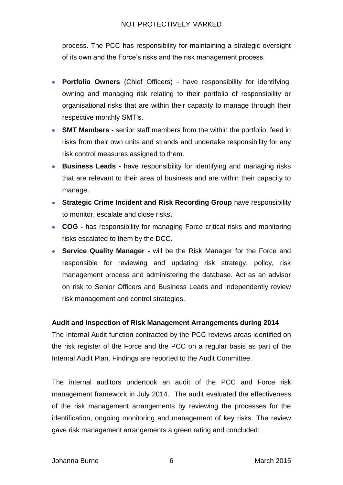process. The PCC has responsibility for maintaining a strategic oversight of its own and the Force's risks and the risk management process.

- **Portfolio Owners** (Chief Officers) have responsibility for identifying,  $\bullet$ owning and managing risk relating to their portfolio of responsibility or organisational risks that are within their capacity to manage through their respective monthly SMT's.
- **SMT Members -** senior staff members from the within the portfolio, feed in risks from their own units and strands and undertake responsibility for any risk control measures assigned to them.
- **Business Leads -** have responsibility for identifying and managing risks  $\bullet$ that are relevant to their area of business and are within their capacity to manage.
- **Strategic Crime Incident and Risk Recording Group** have responsibility to monitor, escalate and close risks**.**
- **COG -** has responsibility for managing Force critical risks and monitoring risks escalated to them by the DCC.
- **Service Quality Manager -** will be the Risk Manager for the Force and  $\bullet$ responsible for reviewing and updating risk strategy, policy, risk management process and administering the database. Act as an advisor on risk to Senior Officers and Business Leads and independently review risk management and control strategies.

# **Audit and Inspection of Risk Management Arrangements during 2014**

The Internal Audit function contracted by the PCC reviews areas identified on the risk register of the Force and the PCC on a regular basis as part of the Internal Audit Plan. Findings are reported to the Audit Committee.

The internal auditors undertook an audit of the PCC and Force risk management framework in July 2014. The audit evaluated the effectiveness of the risk management arrangements by reviewing the processes for the identification, ongoing monitoring and management of key risks. The review gave risk management arrangements a green rating and concluded: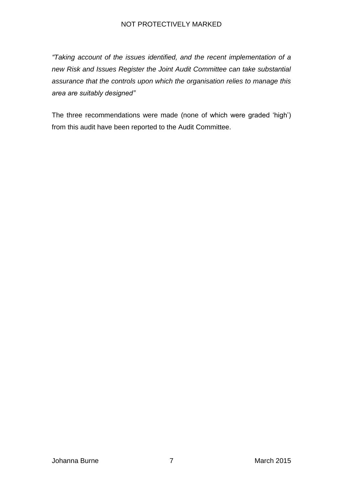*"Taking account of the issues identified, and the recent implementation of a new Risk and Issues Register the Joint Audit Committee can take substantial assurance that the controls upon which the organisation relies to manage this area are suitably designed"*

The three recommendations were made (none of which were graded 'high') from this audit have been reported to the Audit Committee.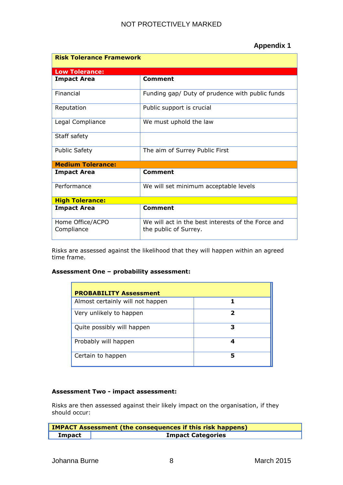# **Appendix 1**

| <b>Risk Tolerance Framework</b> |                                                                             |  |  |  |  |
|---------------------------------|-----------------------------------------------------------------------------|--|--|--|--|
| <b>Low Tolerance:</b>           |                                                                             |  |  |  |  |
| <b>Impact Area</b>              | Comment                                                                     |  |  |  |  |
| Financial                       | Funding gap/ Duty of prudence with public funds                             |  |  |  |  |
| Reputation                      | Public support is crucial                                                   |  |  |  |  |
| Legal Compliance                | We must uphold the law                                                      |  |  |  |  |
| Staff safety                    |                                                                             |  |  |  |  |
| <b>Public Safety</b>            | The aim of Surrey Public First                                              |  |  |  |  |
| <b>Medium Tolerance:</b>        |                                                                             |  |  |  |  |
| <b>Impact Area</b>              | Comment                                                                     |  |  |  |  |
| Performance                     | We will set minimum acceptable levels                                       |  |  |  |  |
| <b>High Tolerance:</b>          |                                                                             |  |  |  |  |
| <b>Impact Area</b>              | <b>Comment</b>                                                              |  |  |  |  |
| Home Office/ACPO<br>Compliance  | We will act in the best interests of the Force and<br>the public of Surrey. |  |  |  |  |

Risks are assessed against the likelihood that they will happen within an agreed time frame.

### **Assessment One – probability assessment:**

| <b>PROBABILITY Assessment</b>    |   |  |  |
|----------------------------------|---|--|--|
| Almost certainly will not happen |   |  |  |
| Very unlikely to happen          | 2 |  |  |
| Quite possibly will happen       | 3 |  |  |
| Probably will happen             |   |  |  |
| Certain to happen                | 5 |  |  |

#### **Assessment Two - impact assessment:**

Risks are then assessed against their likely impact on the organisation, if they should occur:

| <b>IMPACT Assessment (the consequences if this risk happens)</b> |  |  |  |  |
|------------------------------------------------------------------|--|--|--|--|
| <b>Impact Categories</b><br>Impact                               |  |  |  |  |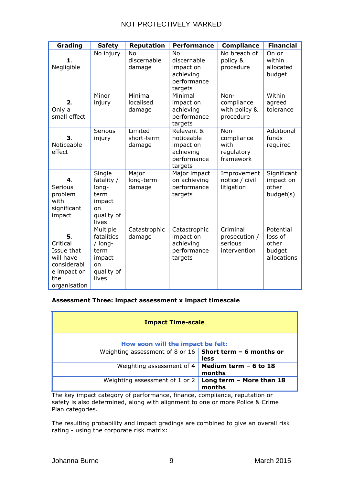| Grading                                                                                        | <b>Safety</b>                                                                    | <b>Reputation</b>               | <b>Performance</b>                                                           | <b>Compliance</b>                                     | <b>Financial</b>                                       |
|------------------------------------------------------------------------------------------------|----------------------------------------------------------------------------------|---------------------------------|------------------------------------------------------------------------------|-------------------------------------------------------|--------------------------------------------------------|
| 1.<br>Negligible                                                                               | No injury                                                                        | No<br>discernable<br>damage     | No<br>discernable<br>impact on<br>achieving<br>performance<br>targets        | No breach of<br>policy &<br>procedure                 | On or<br>within<br>allocated<br>budget                 |
| 2.<br>Only a<br>small effect                                                                   | Minor<br>injury                                                                  | Minimal<br>localised<br>damage  | Minimal<br>impact on<br>achieving<br>performance<br>targets                  | Non-<br>compliance<br>with policy &<br>procedure      | Within<br>agreed<br>tolerance                          |
| З.<br>Noticeable<br>effect                                                                     | <b>Serious</b><br>injury                                                         | Limited<br>short-term<br>damage | Relevant &<br>noticeable<br>impact on<br>achieving<br>performance<br>targets | Non-<br>compliance<br>with<br>regulatory<br>framework | Additional<br>funds<br>required                        |
| 4.<br>Serious<br>problem<br>with<br>significant<br>impact                                      | Single<br>fatality /<br>long-<br>term<br>impact<br>on<br>quality of<br>lives     | Major<br>long-term<br>damage    | Major impact<br>on achieving<br>performance<br>targets                       | Improvement<br>notice / civil<br>litigation           | Significant<br>impact on<br>other<br>budget(s)         |
| 5.<br>Critical<br>Issue that<br>will have<br>considerabl<br>e impact on<br>the<br>organisation | Multiple<br>fatalities<br>/ long-<br>term<br>impact<br>on<br>quality of<br>lives | Catastrophic<br>damage          | Catastrophic<br>impact on<br>achieving<br>performance<br>targets             | Criminal<br>prosecution /<br>serious<br>intervention  | Potential<br>loss of<br>other<br>budget<br>allocations |

#### **Assessment Three: impact assessment x impact timescale**

| <b>Impact Time-scale</b>                                         |                                    |  |  |  |  |
|------------------------------------------------------------------|------------------------------------|--|--|--|--|
| How soon will the impact be felt:                                |                                    |  |  |  |  |
| Weighting assessment of 8 or 16 Short term - 6 months or<br>less |                                    |  |  |  |  |
| Weighting assessment of 4                                        | Medium term - 6 to 18<br>months    |  |  |  |  |
| Weighting assessment of 1 or 2                                   | Long term - More than 18<br>months |  |  |  |  |

The key impact category of performance, finance, compliance, reputation or safety is also determined, along with alignment to one or more Police & Crime Plan categories.

The resulting probability and impact gradings are combined to give an overall risk rating - using the corporate risk matrix: